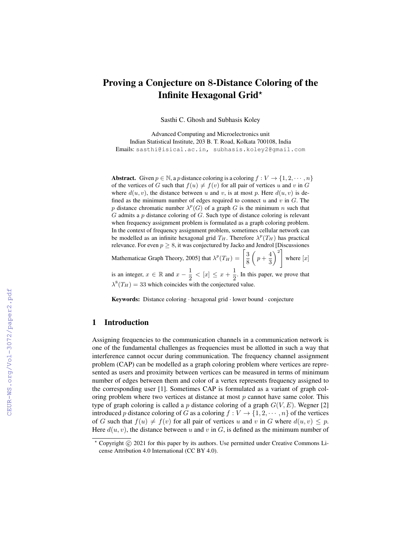# Proving a Conjecture on 8-Distance Coloring of the Infinite Hexagonal Grid?

Sasthi C. Ghosh and Subhasis Koley

Advanced Computing and Microelectronics unit Indian Statistical Institute, 203 B. T. Road, Kolkata 700108, India Emails: sasthi@isical.ac.in, subhasis.koley2@gmail.com

Abstract. Given  $p \in \mathbb{N}$ , a p distance coloring is a coloring  $f: V \to \{1, 2, \dots, n\}$ of the vertices of G such that  $f(u) \neq f(v)$  for all pair of vertices u and v in G where  $d(u, v)$ , the distance between u and v, is at most p. Here  $d(u, v)$  is defined as the minimum number of edges required to connect  $u$  and  $v$  in  $G$ . The p distance chromatic number  $\lambda^p(G)$  of a graph G is the minimum n such that  $G$  admits a  $p$  distance coloring of  $G$ . Such type of distance coloring is relevant when frequency assignment problem is formulated as a graph coloring problem. In the context of frequency assignment problem, sometimes cellular network can be modelled as an infinite hexagonal grid  $T_H$ . Therefore  $\lambda^p(T_H)$  has practical relevance. For even  $p \geq 8$ , it was conjectured by Jacko and Jendrol [Discussiones Mathematicae Graph Theory, 2005] that  $\lambda^p(T_H) = \left[\frac{3}{5}\right]$ 8  $\left(p+\frac{4}{5}\right)$ 3  $\setminus^2$ where  $[x]$ 

is an integer,  $x \in \mathbb{R}$  and  $x - \frac{1}{2}$  $\frac{1}{2}$  < [x]  $\leq x + \frac{1}{2}$  $\frac{1}{2}$ . In this paper, we prove that  $\lambda^8(T_H) = 33$  which coincides with the conjectured value.

Keywords: Distance coloring · hexagonal grid · lower bound · conjecture

## 1 Introduction

Assigning frequencies to the communication channels in a communication network is one of the fundamental challenges as frequencies must be allotted in such a way that interference cannot occur during communication. The frequency channel assignment problem (CAP) can be modelled as a graph coloring problem where vertices are represented as users and proximity between vertices can be measured in terms of minimum number of edges between them and color of a vertex represents frequency assigned to the corresponding user [1]. Sometimes CAP is formulated as a variant of graph coloring problem where two vertices at distance at most  $p$  cannot have same color. This type of graph coloring is called a p distance coloring of a graph  $G(V, E)$ . Wegner [2] introduced p distance coloring of G as a coloring  $f: V \to \{1, 2, \dots, n\}$  of the vertices of G such that  $f(u) \neq f(v)$  for all pair of vertices u and v in G where  $d(u, v) \leq p$ . Here  $d(u, v)$ , the distance between u and v in G, is defined as the minimum number of

 $*$  Copyright  $\circled{c}$  2021 for this paper by its authors. Use permitted under Creative Commons License Attribution 4.0 International (CC BY 4.0).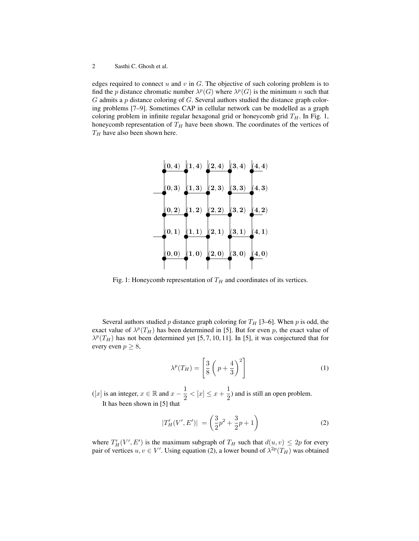edges required to connect  $u$  and  $v$  in  $G$ . The objective of such coloring problem is to find the p distance chromatic number  $\lambda^p(G)$  where  $\lambda^p(G)$  is the minimum n such that  $G$  admits a  $p$  distance coloring of  $G$ . Several authors studied the distance graph coloring problems [7–9]. Sometimes CAP in cellular network can be modelled as a graph coloring problem in infinite regular hexagonal grid or honeycomb grid  $T_H$ . In Fig. 1, honeycomb representation of  $T_H$  have been shown. The coordinates of the vertices of  $T_H$  have also been shown here.



Fig. 1: Honeycomb representation of  $T_H$  and coordinates of its vertices.

Several authors studied p distance graph coloring for  $T_H$  [3–6]. When p is odd, the exact value of  $\lambda^p(T_H)$  has been determined in [5]. But for even p, the exact value of  $\lambda^p(T_H)$  has not been determined yet [5, 7, 10, 11]. In [5], it was conjectured that for every even  $p \geq 8$ ,

$$
\lambda^p(T_H) = \left[\frac{3}{8}\left(p + \frac{4}{3}\right)^2\right] \tag{1}
$$

([x] is an integer,  $x \in \mathbb{R}$  and  $x - \frac{1}{2}$  $\frac{1}{2} < [x] \leq x + \frac{1}{2}$  $\frac{1}{2}$ ) and is still an open problem. It has been shown in [5] that

$$
|T_H'(V', E')| = \left(\frac{3}{2}p^2 + \frac{3}{2}p + 1\right)
$$
 (2)

where  $T'_H(V', E')$  is the maximum subgraph of  $T_H$  such that  $d(u, v) \leq 2p$  for every pair of vertices  $u, v \in V'$ . Using equation (2), a lower bound of  $\lambda^{2p}(T_H)$  was obtained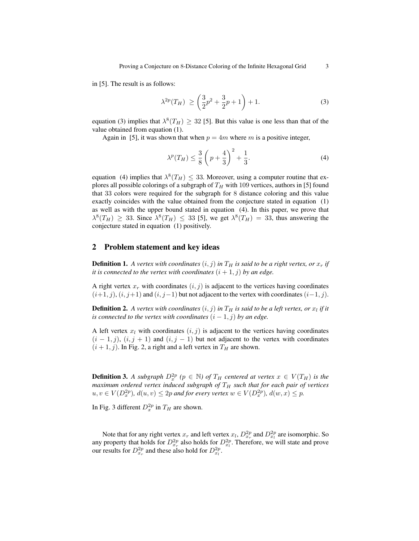in [5]. The result is as follows:

$$
\lambda^{2p}(T_H) \ge \left(\frac{3}{2}p^2 + \frac{3}{2}p + 1\right) + 1. \tag{3}
$$

equation (3) implies that  $\lambda^8(T_H) \geq 32$  [5]. But this value is one less than that of the value obtained from equation (1).

Again in [5], it was shown that when  $p = 4m$  where m is a positive integer,

$$
\lambda^{p}(T_H) \le \frac{3}{8} \left( p + \frac{4}{3} \right)^2 + \frac{1}{3}.
$$
 (4)

equation (4) implies that  $\lambda^8(T_H) \leq 33$ . Moreover, using a computer routine that explores all possible colorings of a subgraph of  $T_H$  with 109 vertices, authors in [5] found that 33 colors were required for the subgraph for 8 distance coloring and this value exactly coincides with the value obtained from the conjecture stated in equation (1) as well as with the upper bound stated in equation (4). In this paper, we prove that  $\lambda^8(T_H) \geq 33$ . Since  $\lambda^8(T_H) \leq 33$  [5], we get  $\lambda^8(T_H) = 33$ , thus answering the conjecture stated in equation (1) positively.

## 2 Problem statement and key ideas

**Definition 1.** A vertex with coordinates  $(i, j)$  in  $T_H$  is said to be a right vertex, or  $x_r$  if *it is connected to the vertex with coordinates*  $(i + 1, j)$  *by an edge.* 

A right vertex  $x_r$  with coordinates  $(i, j)$  is adjacent to the vertices having coordinates  $(i+1, j)$ ,  $(i, j+1)$  and  $(i, j-1)$  but not adjacent to the vertex with coordinates  $(i-1, j)$ .

 $\bf{Definition 2.}$  A vertex with coordinates  $(i,j)$  in  $T_H$  is said to be a left vertex, or  $x_l$  if it *is connected to the vertex with coordinates*  $(i - 1, j)$  *by an edge.* 

A left vertex  $x_l$  with coordinates  $(i, j)$  is adjacent to the vertices having coordinates  $(i - 1, j)$ ,  $(i, j + 1)$  and  $(i, j - 1)$  but not adjacent to the vertex with coordinates  $(i + 1, j)$ . In Fig. 2, a right and a left vertex in  $T_H$  are shown.

**Definition 3.** A subgraph  $D_x^{2p}$  ( $p \in \mathbb{N}$ ) of  $T_H$  centered at vertex  $x \in V(T_H)$  is the *maximum ordered vertex induced subgraph of*  $T_H$  *such that for each pair of vertices*  $u, v \in V(D_x^{2p}), d(u, v) \leq 2p$  and for every vertex  $w \in V(D_x^{2p}), d(w, x) \leq p$ .

In Fig. 3 different  $D_x^{2p}$  in  $T_H$  are shown.

Note that for any right vertex  $x_r$  and left vertex  $x_l$ ,  $D_{x_r}^{2p}$  and  $D_{x_l}^{2p}$  are isomorphic. So any property that holds for  $D_{x_r}^{2p}$  also holds for  $D_{x_l}^{2p}$ . Therefore, we will state and prove our results for  $D_{x_r}^{2p}$  and these also hold for  $D_{x_l}^{2p}$ .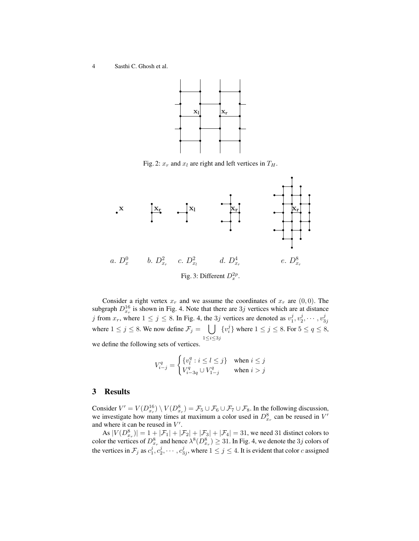

Fig. 2:  $x_r$  and  $x_l$  are right and left vertices in  $T_H$ .



Consider a right vertex  $x_r$  and we assume the coordinates of  $x_r$  are  $(0, 0)$ . The subgraph  $D_{x_r}^{16}$  is shown in Fig. 4. Note that there are  $3j$  vertices which are at distance j from  $x_r$ , where  $1 \le j \le 8$ . In Fig. 4, the 3j vertices are denoted as  $v_1^j, v_2^j, \dots, v_{3j}^j$ where  $1 \le j \le 8$ . We now define  $\mathcal{F}_j = \bigcup \{v_i^j\}$  where  $1 \le j \le 8$ . For  $5 \le q \le 8$ ,  $1{\le}i{\le}3j$ we define the following sets of vertices.

$$
V_{i-j}^q = \begin{cases} \{v_l^q : i \le l \le j\} & \text{when } i \le j\\ V_{i-3q}^q \cup V_{1-j}^q & \text{when } i > j \end{cases}
$$

## 3 Results

Consider  $V' = V(D_{x_r}^{16}) \setminus V(D_{x_r}^8) = \mathcal{F}_5 \cup \mathcal{F}_6 \cup \mathcal{F}_7 \cup \mathcal{F}_8$ . In the following discussion, we investigate how many times at maximum a color used in  $D_{x_r}^8$  can be reused in  $V'$ and where it can be reused in  $V'$ .

As  $|V(D_{x_r}^8)| = 1 + |\mathcal{F}_1| + |\mathcal{F}_2| + |\mathcal{F}_3| + |\mathcal{F}_4| = 31$ , we need 31 distinct colors to color the vertices of  $D_{x_r}^8$  and hence  $\lambda^8(D_{x_r}^8) \geq 31$ . In Fig. 4, we denote the  $3j$  colors of the vertices in  $\mathcal{F}_j$  as  $c_1^j, c_2^j, \cdots, c_{3j}^j$ , where  $1 \leq j \leq 4$ . It is evident that color c assigned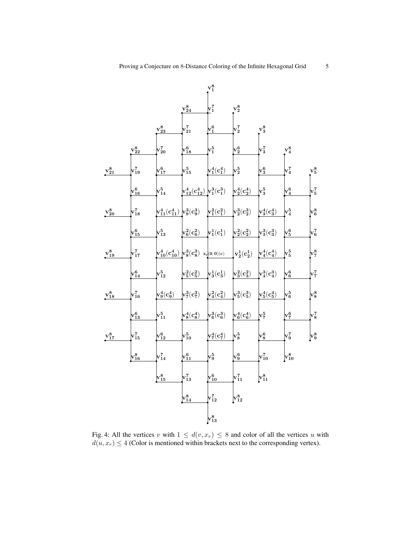

Fig. 4: All the vertices v with  $1 \leq d(v, x_r) \leq 8$  and color of all the vertices u with  $d(u, x_r) \leq 4$  (Color is mentioned within brackets next to the corresponding vertex).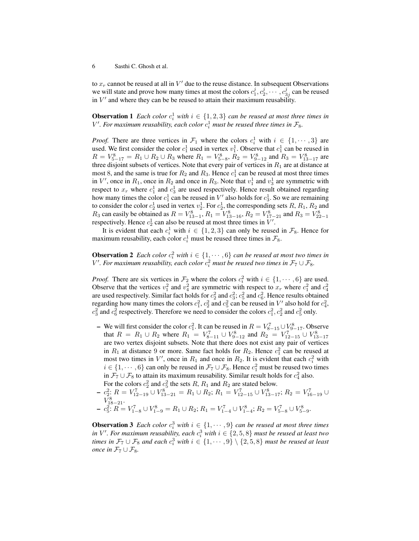to  $x_r$  cannot be reused at all in  $V'$  due to the reuse distance. In subsequent Observations we will state and prove how many times at most the colors  $c_1^j, c_2^j, \cdots, c_{3j}^j$  can be reused in  $V'$  and where they can be be reused to attain their maximum reusability.

**Observation 1** Each color  $c_i^1$  with  $i \in \{1, 2, 3\}$  can be reused at most three times in  $V'$ . For maximum reusability, each color  $c_i^1$  must be reused three times in  $\mathcal{F}_8$ .

*Proof.* There are three vertices in  $\mathcal{F}_1$  where the colors  $c_i^1$  with  $i \in \{1, \dots, 3\}$  are used. We first consider the color  $c_1^1$  used in vertex  $v_1^1$ . Observe that  $c_1^1$  can be reused in  $R = V_{5-17}^8 = R_1 \cup R_2 \cup R_3$  where  $R_1 = V_{5-8}^8$ ,  $R_2 = V_{9-12}^8$  and  $R_3 = V_{13-17}^8$  are three disjoint subsets of vertices. Note that every pair of vertices in  $R_1$  are at distance at most 8, and the same is true for  $R_2$  and  $R_3$ . Hence  $c_1^1$  can be reused at most three times in  $V'$ , once in  $R_1$ , once in  $R_2$  and once in  $R_3$ . Note that  $v_1^1$  and  $v_3^1$  are symmetric with respect to  $x_r$  where  $c_1^1$  and  $c_3^1$  are used respectively. Hence result obtained regarding how many times the color  $c_1^1$  can be reused in  $V'$  also holds for  $c_3^1$ . So we are remaining to consider the color  $c_2^1$  used in vertex  $v_2^1$ . For  $c_2^1$ , the corresponding sets  $R$ ,  $R_1$ ,  $R_2$  and  $R_3$  can easily be obtained as  $R = V_{13-1}^8$ ,  $R_1 = V_{13-16}^8$ ,  $R_2 = V_{17-21}^8$  and  $R_3 = V_{22-1}^8$ respectively. Hence  $c_2^1$  can also be reused at most three times in  $V'$ .

It is evident that each  $c_i^1$  with  $i \in \{1, 2, 3\}$  can only be reused in  $\mathcal{F}_8$ . Hence for maximum reusability, each color  $c_i^1$  must be reused three times in  $\mathcal{F}_8$ .

**Observation 2** Each color  $c_i^2$  with  $i \in \{1, \dots, 6\}$  can be reused at most two times in  $V'.$  *For maximum reusability, each color*  $c_i^2$  *must be reused two times in*  $\mathcal{F}_7 \cup \mathcal{F}_8$ *.* 

*Proof.* There are six vertices in  $\mathcal{F}_2$  where the colors  $c_i^2$  with  $i \in \{1, \dots, 6\}$  are used. Observe that the vertices  $v_1^2$  and  $v_4^2$  are symmetric with respect to  $x_r$  where  $c_1^2$  and  $c_4^2$ are used respectively. Similar fact holds for  $c_2^2$  and  $c_3^2$ ;  $c_5^2$  and  $c_6^2$ . Hence results obtained regarding how many times the colors  $c_1^2$ ,  $c_2^2$  and  $c_5^2$  can be reused in  $V'$  also hold for  $c_4^2$ ,  $c_3^2$  and  $c_6^2$  respectively. Therefore we need to consider the colors  $c_1^2$ ,  $c_2^2$  and  $c_5^2$  only.

- We will first consider the color  $c_1^2$ . It can be reused in  $R = V_{8-15}^7 \cup V_{9-17}^8$ . Observe that  $R = R_1 \cup R_2$  where  $R_1 = V_{8-11}^7 \cup V_{9-12}^8$  and  $R_2 = V_{12-15}^7 \cup V_{13-17}^8$ are two vertex disjoint subsets. Note that there does not exist any pair of vertices in  $R_1$  at distance 9 or more. Same fact holds for  $R_2$ . Hence  $c_1^2$  can be reused at most two times in  $V'$ , once in  $R_1$  and once in  $R_2$ . It is evident that each  $c_i^2$  with  $i \in \{1, \dots, 6\}$  can only be reused in  $\mathcal{F}_7 \cup \mathcal{F}_8$ . Hence  $c_1^2$  must be reused two times in  $\mathcal{F}_7 \cup \mathcal{F}_8$  to attain its maximum reusability. Similar result holds for  $c_4^2$  also. For the colors  $c_2^2$  and  $c_5^2$  the sets  $R$ ,  $R_1$  and  $R_2$  are stated below.
- $c_2^2$ :  $R = V_{12-19}^7 \cup V_{13-21}^8 = R_1 \cup R_2$ ;  $R_1 = V_{12-15}^7 \cup V_{13-17}^8$ ;  $R_2 = V_{16-19}^7 \cup$  $V_{18-21}^8$ .

$$
- c_5^2 \colon R = V_{1-8}^7 \cup V_{1-9}^8 = R_1 \cup R_2; R_1 = V_{1-4}^7 \cup V_{1-4}^8; R_2 = V_{5-8}^7 \cup V_{5-9}^8.
$$

**Observation 3** Each color  $c_i^3$  with  $i \in \{1, \dots, 9\}$  can be reused at most three times in  $V'$ . For maximum reusability, each  $c_i^3$  with  $i \in \{2,5,8\}$  must be reused at least two *times in*  $\mathcal{F}_7 \cup \mathcal{F}_8$  *and each*  $c_i^3$  *with*  $i \in \{1, \cdots, 9\} \setminus \{2, 5, 8\}$  *must be reused at least once in*  $\mathcal{F}_7 \cup \mathcal{F}_8$ *.*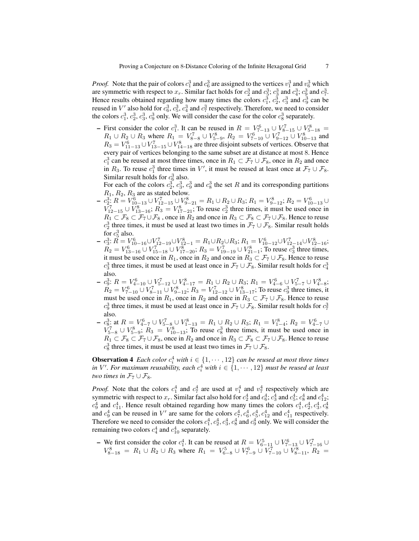*Proof.* Note that the pair of colors  $c_1^3$  and  $c_6^3$  are assigned to the vertices  $v_1^3$  and  $v_6^3$  which are symmetric with respect to  $x_r$ . Similar fact holds for  $c_2^3$  and  $c_3^3$ ;  $c_3^3$  and  $c_4^3$ ;  $c_9^3$  and  $c_7^3$ . Hence results obtained regarding how many times the colors  $c_1^3$ ,  $c_2^3$ ,  $c_3^3$  and  $c_9^3$  can be reused in  $V'$  also hold for  $c_6^3$ ,  $c_5^3$ ,  $c_4^3$  and  $c_7^3$  respectively. Therefore, we need to consider the colors  $c_1^3$ ,  $c_2^3$ ,  $c_3^3$ ,  $c_9^3$  only. We will consider the case for the color  $c_8^3$  separately.

- First consider the color  $c_1^3$ . It can be reused in  $R = V_{7-13}^6 \cup V_{8-15}^7 \cup V_{5-18}^8 =$  $R_1 \cup R_2 \cup R_3$  where  $R_1 = V_{8-8}^7 \cup V_{5-9}^8$ ,  $R_2 = V_{7-10}^6 \cup V_{9-12}^7 \cup V_{10-13}^8$  and  $R_3 = V_{11-13}^6 \cup V_{13-15}^7 \cup V_{14-18}^8$  are three disjoint subsets of vertices. Observe that every pair of vertices belonging to the same subset are at distance at most 8. Hence  $c_1^3$  can be reused at most three times, once in  $R_1 \subset \mathcal{F}_7 \cup \mathcal{F}_8$ , once in  $R_2$  and once in  $R_3$ . To reuse  $c_1^3$  three times in V', it must be reused at least once at  $\mathcal{F}_7 \cup \mathcal{F}_8$ . Similar result holds for  $c_6^3$  also.

For each of the colors  $c_2^3$ ,  $c_3^3$ ,  $c_9^3$  and  $c_8^3$  the set R and its corresponding partitions  $R_1, R_2, R_3$  are as stated below.

- $c_2^3$ :  $R = V_{10-13}^6 \cup V_{12-15}^7 \cup V_{9-21}^8 = R_1 \cup R_2 \cup R_3$ ;  $R_1 = V_{9-12}^8$ ;  $R_2 = V_{10-13}^6 \cup R_1^8$  $V_{12-15}^7 \cup V_{13-16}^8$ ;  $R_3 = V_{17-21}^8$ ; To reuse  $c_2^3$  three times, it must be used once in  $R_1 \subset \mathcal{F}_8 \subset \mathcal{F}_7 \cup \mathcal{F}_8$ , once in  $R_2$  and once in  $R_3 \subset \mathcal{F}_8 \subset \mathcal{F}_7 \cup \mathcal{F}_8$ . Hence to reuse  $c_2^3$  three times, it must be used at least two times in  $\mathcal{F}_7 \cup \mathcal{F}_8$ . Similar result holds for  $c_5^3$  also.
- $c_3^3$ :  $R = V_{10-16}^6 \cup V_{12-19}^7 \cup V_{12-1}^8 = R_1 \cup R_2 \cup R_3$ ;  $R_1 = V_{10-12}^6 \cup V_{12-14}^7 \cup V_{12-16}^8$ ;  $R_2 = V_{13-16}^6 \cup V_{15-18}^7 \cup V_{17-20}^8$ ;  $R_3 = V_{19-19}^7 \cup V_{21-1}^8$ ; To reuse  $c_3^3$  three times, it must be used once in  $R_1$ , once in  $R_2$  and once in  $R_3 \subset \mathcal{F}_7 \cup \mathcal{F}_8$ . Hence to reuse  $c_3^3$  three times, it must be used at least once in  $\mathcal{F}_7 \cup \mathcal{F}_8$ . Similar result holds for  $c_4^3$ also.
- $c_9^3$ :  $R = V_{4-10}^6 \cup V_{5-12}^7 \cup V_{4-17}^8 = R_1 \cup R_2 \cup R_3$ ;  $R_1 = V_{4-6}^6 \cup V_{5-7}^7 \cup V_{4-8}^8$ ;  $R_2 = V_{7-10}^6 \cup V_{8-11}^7 \cup V_{9-12}^8$ ;  $R_3 = V_{12-12}^7 \cup V_{13-17}^8$ ; To reuse  $c_9^3$  three times, it must be used once in  $R_1$ , once in  $R_2$  and once in  $R_3 \subset \mathcal{F}_7 \cup \mathcal{F}_8$ . Hence to reuse  $c_9^3$  three times, it must be used at least once in  $\mathcal{F}_7 \cup \mathcal{F}_8$ . Similar result holds for  $c_7^3$ also.
- $c_8^3$ : at  $R = V_{4-7}^6 \cup V_{5-8}^7 \cup V_{1-13}^8 = R_1 \cup R_2 \cup R_3$ ;  $R_1 = V_{1-4}^8$ ;  $R_2 = V_{4-7}^6 \cup$  $V_{5-8}^{7} \cup V_{5-9}^{8}$ ;  $R_3 = V_{10-13}^{8}$ ; To reuse  $c_8^3$  three times, it must be used once in  $R_1 \nightharpoonup \mathcal{F}_8 \subset \mathcal{F}_7 \cup \mathcal{F}_8$ , once in  $R_2$  and once in  $R_3 \subset \mathcal{F}_8 \subset \mathcal{F}_7 \cup \mathcal{F}_8$ . Hence to reuse  $c_8^3$  three times, it must be used at least two times in  $\mathcal{F}_7 \cup \mathcal{F}_8$ .

**Observation 4** Each color  $c_i^4$  with  $i \in \{1, \dots, 12\}$  can be reused at most three times *in*  $V'$ . For maximum reusability, each  $c_i^4$  with  $i \in \{1, \cdots, 12\}$  must be reused at least *two times in*  $\mathcal{F}_7 \cup \mathcal{F}_8$ *.* 

*Proof.* Note that the colors  $c_1^4$  and  $c_7^4$  are used at  $v_1^4$  and  $v_7^4$  respectively which are symmetric with respect to  $x_r$ . Similar fact also hold for  $c_2^4$  and  $c_6^4$ ;  $c_3^4$  and  $c_5^4$ ;  $c_8^4$  and  $c_{12}^4$ ;  $c_9^4$  and  $c_{11}^4$ . Hence result obtained regarding how many times the colors  $c_1^4$ ,  $c_2^4$ ,  $c_3^4$ ,  $c_8^4$ and  $c_9^4$  can be reused in V' are same for the colors  $c_7^4$ ,  $c_6^4$ ,  $c_5^4$ ,  $c_{12}^4$  and  $c_{11}^4$  respectively. Therefore we need to consider the colors  $c_1^4$ ,  $c_2^4$ ,  $c_3^4$ ,  $c_8^4$  and  $c_9^4$  only. We will consider the remaining two colors  $c_4^4$  and  $c_{10}^4$  separately.

- We first consider the color  $c_1^4$ . It can be reused at  $R = V_{6-11}^5 \cup V_{7-13}^6 \cup V_{7-16}^7 \cup$  $V_{8-18}^8 = R_1 \cup R_2 \cup R_3$  where  $R_1 = V_{6-8}^5 \cup V_{7-9}^6 \cup V_{7-10}^7 \cup V_{8-11}^8$ ,  $R_2 =$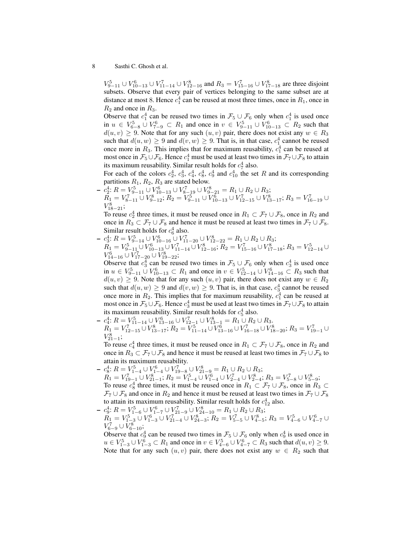$V_{9-11}^5 \cup V_{10-13}^6 \cup V_{11-14}^7 \cup V_{12-16}^8$  and  $R_3 = V_{15-16}^7 \cup V_{17-18}^8$  are three disjoint subsets. Observe that every pair of vertices belonging to the same subset are at distance at most 8. Hence  $c_1^4$  can be reused at most three times, once in  $R_1$ , once in  $R_2$  and once in  $R_3$ .

Observe that  $c_1^4$  can be reused two times in  $\mathcal{F}_5 \cup \mathcal{F}_6$  only when  $c_1^4$  is used once in  $u \in V_{6-8}^5 \cup V_{7-9}^6 \subset R_1$  and once in  $v \in V_{9-11}^5 \cup V_{10-13}^6 \subset R_2$  such that  $d(u, v) \ge 9$ . Note that for any such  $(u, v)$  pair, there does not exist any  $w \in R_3$ such that  $d(u, w) \ge 9$  and  $d(v, w) \ge 9$ . That is, in that case,  $c_1^4$  cannot be reused once more in  $R_3$ . This implies that for maximum reusability,  $c_1^4$  can be reused at most once in  $\mathcal{F}_5 \cup \mathcal{F}_6$ . Hence  $c_1^4$  must be used at least two times in  $\mathcal{F}_7 \cup \mathcal{F}_8$  to attain its maximum reusability. Similar result holds for  $c_7^4$  also.

For each of the colors  $c_2^4$ ,  $c_3^4$ ,  $c_4^4$ ,  $c_8^4$ ,  $c_9^4$  and  $c_{10}^4$  the set R and its corresponding partitions  $R_1$ ,  $R_2$ ,  $R_3$  are stated below.

-  $c_2^4$ :  $R = V_{9-11}^5 \cup V_{10-13}^6 \cup V_{8-19}^7 \cup V_{9-21}^8 = R_1 \cup R_2 \cup R_3$ ;  $R_1 = V_{8-11}^7 \cup V_{9-12}^8$ ;  $R_2 = V_{9-11}^5 \cup V_{10-13}^6 \cup V_{12-15}^7 \cup V_{13-17}^8$ ;  $R_3 = V_{16-19}^7 \cup$  $V_{18-21}^8;$ 

To reuse  $c_2^4$  three times, it must be reused once in  $R_1 \subset \mathcal{F}_7 \cup \mathcal{F}_8$ , once in  $R_2$  and once in  $R_3 \subset \mathcal{F}_7 \cup \mathcal{F}_8$  and hence it must be reused at least two times in  $\mathcal{F}_7 \cup \mathcal{F}_8$ . Similar result holds for  $c_6^4$  also.

-  $c_3^4$ :  $R = V_{9-14}^5 \cup V_{10-16}^6 \cup V_{11-20}^7 \cup V_{12-22}^8 = R_1 \cup R_2 \cup R_3$ ;  $R_1 = V_{9-11}^5 \cup V_{10-13}^6 \cup V_{11-14}^7 \cup V_{12-16}^8$ ;  $R_2 = V_{15-16}^7 \cup V_{17-18}^8$ ;  $R_3 = V_{12-14}^5 \cup$  $V_{14-16}^6 \cup V_{17-20}^7 \cup V_{19-22}^8;$ 

Observe that  $c_3^4$  can be reused two times in  $\mathcal{F}_5 \cup \mathcal{F}_6$  only when  $c_3^4$  is used once in  $u \in V_{9-11}^5 \cup V_{10-13}^6 \subset R_1$  and once in  $v \in V_{12-14}^5 \cup V_{14-16}^6 \subset R_3$  such that  $d(u, v) \geq 9$ . Note that for any such  $(u, v)$  pair, there does not exist any  $w \in R_2$ such that  $d(u, w) \ge 9$  and  $d(v, w) \ge 9$ . That is, in that case,  $c_3^4$  cannot be reused once more in  $R_2$ . This implies that for maximum reusability,  $c_1^4$  can be reused at most once in  $\mathcal{F}_5 \cup \mathcal{F}_6$ . Hence  $c_3^4$  must be used at least two times in  $\mathcal{F}_7 \cup \mathcal{F}_8$  to attain its maximum reusability. Similar result holds for  $c_5^4$  also.

 $- c_4^4$ :  $R = V_{11-14}^5 \cup V_{13-16}^6 \cup V_{12-1}^7 \cup V_{13-1}^8 = R_1 \cup R_2 \cup R_3$ .  $R_1 = V_{12-15}^7 \cup V_{13-17}^8$ ;  $R_2 = V_{11-14}^5 \cup V_{13-16}^6 \cup V_{16-18}^7 \cup V_{18-20}^8$ ;  $R_3 = V_{19-1}^7 \cup$  $V_{21-1}^8;$ 

To reuse  $c_4^4$  three times, it must be reused once in  $R_1 \subset \mathcal{F}_7 \cup \mathcal{F}_8$ , once in  $R_2$  and once in  $R_3 \subset \mathcal{F}_7 \cup \mathcal{F}_8$  and hence it must be reused at least two times in  $\mathcal{F}_7 \cup \mathcal{F}_8$  to attain its maximum reusability.

- $c_8^4$ :  $R = V_{1-4}^5 \cup V_{1-4}^6 \cup V_{19-8}^7 \cup V_{21-9}^8 = R_1 \cup R_2 \cup R_3$ ;  $R_1 = V_{19-1}^7 \cup V_{21-1}^8$ ;  $R_2 = V_{1-4}^5 \cup V_{1-4}^6 \cup V_{2-4}^7 \cup V_{2-4}^8$ ;  $R_3 = V_{5-8}^7 \cup V_{5-9}^8$ ; To reuse  $c_8^4$  three times, it must be reused once in  $R_1 \subset \mathcal{F}_7 \cup \mathcal{F}_8$ , once in  $R_3 \subset \mathcal{F}_9$  $\mathcal{F}_7 \cup \mathcal{F}_8$  and once in  $R_2$  and hence it must be reused at least two times in  $\mathcal{F}_7 \cup \mathcal{F}_8$ to attain its maximum reusability. Similar result holds for  $c_{12}^4$  also.
- $c_9^4$ :  $R = V_{1-6}^5 \cup V_{1-7}^6 \cup V_{21-9}^7 \cup V_{24-10}^8 = R_1 \cup R_2 \cup R_3$ ;

 $R_1 = V_{1-3}^5 \cup V_{1-3}^6 \cup V_{21-4}^7 \cup V_{24-3}^8$ ;  $R_2 = V_{5-5}^7 \cup V_{4-5}^8$ ;  $R_3 = V_{4-6}^5 \cup V_{4-7}^6 \cup$  $V_{6-9}^7 \cup V_{6-10}^8$ ;

Observe that  $c_9^4$  can be reused two times in  $\mathcal{F}_5 \cup \mathcal{F}_6$  only when  $c_9^4$  is used once in  $u \in V_{1-3}^5 \cup V_{1-3}^6 \subset R_1$  and once in  $v \in V_{4-6}^5 \cup V_{4-7}^6 \subset R_3$  such that  $d(u, v) \ge 9$ . Note that for any such  $(u, v)$  pair, there does not exist any  $w \in R_2$  such that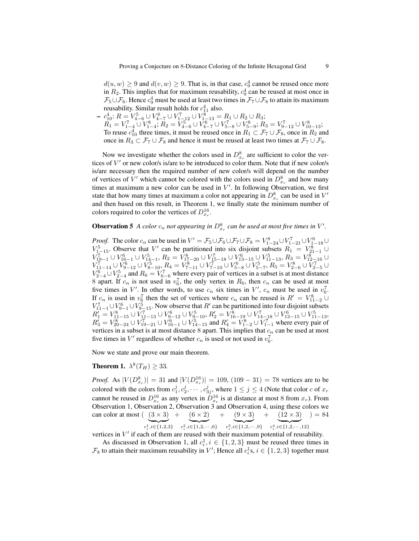$d(u, w) \ge 9$  and  $d(v, w) \ge 9$ . That is, in that case,  $c_9^4$  cannot be reused once more in  $R_2$ . This implies that for maximum reusability,  $c_9^4$  can be reused at most once in  $\mathcal{F}_5\cup\mathcal{F}_6$ . Hence  $c_9^4$  must be used at least two times in  $\mathcal{F}_7\cup\mathcal{F}_8$  to attain its maximum reusability. Similar result holds for  $c_{11}^4$  also.

-  $c_{10}^4$ :  $R = V_{4-6}^5 \cup V_{4-7}^6 \cup V_{1-12}^7 \cup V_{1-13}^8 = R_1 \cup R_2 \cup R_3$ ;  $R_1 = V_{1-4}^7 \cup V_{1-4}^8$ ;  $R_2 = V_{4-6}^5 \cup V_{4-7}^6 \cup V_{5-8}^7 \cup V_{5-9}^8$ ;  $R_3 = V_{9-12}^7 \cup V_{10-13}^8$ ; To reuse  $c_{10}^4$  three times, it must be reused once in  $R_1 \subset \mathcal{F}_7 \cup \mathcal{F}_8$ , once in  $R_2$  and once in  $R_3 \subset \mathcal{F}_7 \cup \mathcal{F}_8$  and hence it must be reused at least two times at  $\mathcal{F}_7 \cup \mathcal{F}_8$ .

Now we investigate whether the colors used in  $D_{x_r}^8$  are sufficient to color the vertices of  $V'$  or new color/s is/are to be introduced to color them. Note that if new color/s is/are necessary then the required number of new color/s will depend on the number of vertices of V' which cannot be colored with the colors used in  $D_{x_r}^8$  and how many times at maximum a new color can be used in  $V'$ . In following Observation, we first state that how many times at maximum a color not appearing in  $D_{x_r}^8$  can be used in  $V'$ and then based on this result, in Theorem 1, we finally state the minimum number of colors required to color the vertices of  $D_{x_r}^{16}$ .

## **Observation 5** A color  $c_n$  not appearing in  $D_{x_r}^8$  can be used at most five times in V'.

*Proof.* The color  $c_n$  can be used in  $V' = \mathcal{F}_5 \cup \mathcal{F}_6 \cup \mathcal{F}_7 \cup \mathcal{F}_8 = V_{1-24}^8 \cup V_{1-21}^7 \cup V_{1-18}^6 \cup V_{1-18}^7$  $V_{1-15}^5$ . Observe that V' can be partitioned into six disjoint subsets  $R_1 = V_{21-1}^8 \cup ...$  $V_{19-1}^7 \cup V_{16-1}^6 \cup V_{14-1}^5$ ,  $R_2 = V_{17-20}^8 \cup V_{15-18}^7 \cup V_{13-15}^6 \cup V_{11-13}^5$ ,  $R_3 = V_{12-16}^8 \cup V_{12-16}^7$  $V_{11-14}^7 \cup V_{9-12}^6 \cup V_{8-10}^5, R_4 = V_{7-11}^8 \cup V_{7-10}^7 \cup V_{5-8}^6 \cup V_{5-7}^5, R_5 = V_{2-6}^8 \cup V_{2-5}^7 \cup V_{3-7}^7$  $V_{2-4}^6 \cup V_{2-4}^5$  and  $R_6 = V_{6-6}^7$  where every pair of vertices in a subset is at most distance 8 apart. If  $c_n$  is not used in  $v_6^7$ , the only vertex in  $R_6$ , then  $c_n$  can be used at most five times in  $V'$ . In other words, to use  $c_n$  six times in  $V'$ ,  $c_n$  must be used in  $v_6^7$ . If  $c_n$  is used in  $v_6^7$  then the set of vertices where  $c_n$  can be reused is  $R' = V_{11-2}^8 \cup$  $V_{11-1}^7 \cup V_{9-1}^6 \cup V_{9-15}^5$ . Now observe that  $R'$  can be partitioned into four disjoint subsets  $R_1' = V_{11-15}^8 \cup V_{11-13}^7 \cup V_{9-12}^6 \cup V_{9-10}^5$ ,  $R_2' = V_{16-19}^8 \cup V_{14-18}^7 \cup V_{13-15}^6 \cup V_{11-13}^5$ ,  $R_3' = V_{20-24}^8 \cup V_{19-21}^7 \cup V_{16-1}^6 \cup V_{14-15}^5$  and  $R_4' = V_{1-2}^8 \cup V_{1-1}^7$  where every pair of vertices in a subset is at most distance  $8$  apart. This implies that  $c_n$  can be used at most five times in  $V'$  regardless of whether  $c_n$  is used or not used in  $v_6^7$ .

Now we state and prove our main theorem.

## **Theorem 1.**  $\lambda^8(T_H) \geq 33$ .

*Proof.* As  $|V(D_{x_r}^8)| = 31$  and  $|V(D_{x_r}^{16})| = 109$ ,  $(109 - 31) = 78$  vertices are to be colored with the colors from  $c_1^j, c_2^j, \cdots, c_{3j}^j$ , where  $1 \leq j \leq 4$  (Note that color c of  $x_r$ cannot be reused in  $D_{x_r}^{16}$  as any vertex in  $D_{x_r}^{16}$  is at distance at most 8 from  $x_r$ ). From Observation 1, Observation 2, Observation 3 and Observation 4, using these colors we can color at most  $( (3 \times 3)$  $c_i^1, i \in \{1,2,3\}$  $+ (6 \times 2)$  $c_i^2, i \in \{1, 2, \cdots, 6\}$  $+ (9 \times 3)$  $c_i^3, i \in \{1, 2, \cdots, 9\}$  $+ (12 \times 3)$  $c_i^4, i \in \{1, 2, \cdots, 12\}$  $) = 84$ 

vertices in  $V'$  if each of them are reused with their maximum potential of reusability.

As discussed in Observation 1, all  $c_i^1$ ,  $i \in \{1, 2, 3\}$  must be reused three times in  $\mathcal{F}_8$  to attain their maximum reusability in  $V'$ ; Hence all  $c_i^1$ s,  $i \in \{1, 2, 3\}$  together must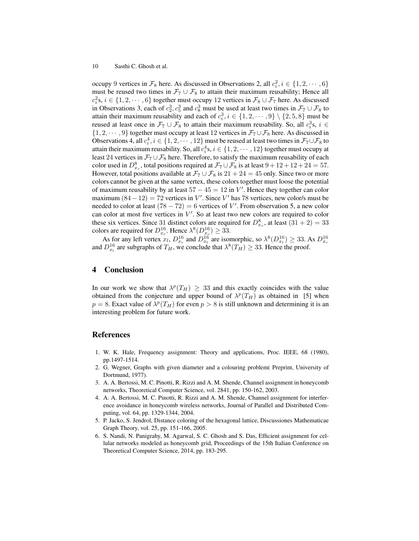occupy 9 vertices in  $\mathcal{F}_8$  here. As discussed in Observations 2, all  $c_i^2$ ,  $i \in \{1, 2, \dots, 6\}$ must be reused two times in  $\mathcal{F}_7 \cup \mathcal{F}_8$  to attain their maximum reusability; Hence all  $c_i^2$ s,  $i \in \{1, 2, \dots, 6\}$  together must occupy 12 vertices in  $\mathcal{F}_8 \cup \mathcal{F}_7$  here. As discussed in Observations 3, each of  $c_2^3$ ,  $c_5^3$  and  $c_8^3$  must be used at least two times in  $\mathcal{F}_7 \cup \mathcal{F}_8$  to attain their maximum reusability and each of  $c_i^3$ ,  $i \in \{1, 2, \dots, 9\} \setminus \{2, 5, 8\}$  must be reused at least once in  $\mathcal{F}_7 \cup \mathcal{F}_8$  to attain their maximum reusability. So, all  $c_i^3$ s,  $i \in$  $\{1, 2, \dots, 9\}$  together must occupy at least 12 vertices in  $\mathcal{F}_7 \cup \mathcal{F}_8$  here. As discussed in Observations 4, all  $c_i^4$ ,  $i \in \{1, 2, \dots, 12\}$  must be reused at least two times in  $\mathcal{F}_7 \cup \mathcal{F}_8$  to attain their maximum reusability. So, all  $c_i^4$ s,  $i \in \{1, 2, \cdots, 12\}$  together must occupy at least 24 vertices in  $\mathcal{F}_7 \cup \mathcal{F}_8$  here. Therefore, to satisfy the maximum reusability of each color used in  $D_{x_r}^8$ , total positions required at  $\mathcal{F}_7 \cup \mathcal{F}_8$  is at least  $9 + 12 + 12 + 24 = 57$ . However, total positions available at  $\mathcal{F}_7 \cup \mathcal{F}_8$  is  $21 + 24 = 45$  only. Since two or more colors cannot be given at the same vertex, these colors together must loose the potential of maximum reusability by at least  $57 - 45 = 12$  in V'. Hence they together can color maximum  $(84 – 12) = 72$  vertices in V'. Since V' has 78 vertices, new color/s must be needed to color at least  $(78 - 72) = 6$  vertices of V'. From observation 5, a new color can color at most five vertices in  $V'$ . So at least two new colors are required to color these six vertices. Since 31 distinct colors are required for  $D_{x_r}^8$ , at least  $(31 + 2) = 33$ colors are required for  $D_{x_r}^{16}$ . Hence  $\lambda^8(D_{x_r}^{16}) \geq 33$ .

As for any left vertex  $x_l$ ,  $D_{x_r}^{16}$  and  $D_{x_l}^{16}$  are isomorphic, so  $\lambda^8 (D_{x_l}^{16}) \geq 33$ . As  $D_{x_r}^{16}$  and  $D_{x_l}^{16}$  are subgraphs of  $T_H$ , we conclude that  $\lambda^8 (T_H) \geq 33$ . Hence the proof.

## 4 Conclusion

In our work we show that  $\lambda^p(T_H) \geq 33$  and this exactly coincides with the value obtained from the conjecture and upper bound of  $\lambda^p(T_H)$  as obtained in [5] when  $p = 8$ . Exact value of  $\lambda^p(T_H)$  for even  $p > 8$  is still unknown and determining it is an interesting problem for future work.

### References

- 1. W. K. Hale, Frequency assignment: Theory and applications, Proc. IEEE, 68 (1980), pp.1497-1514.
- 2. G. Wegner, Graphs with given diameter and a colouring problem( Preprint, University of Dortmund, 1977).
- 3. A. A. Bertossi, M. C. Pinotti, R. Rizzi and A. M. Shende, Channel assignment in honeycomb networks, Theoretical Computer Science, vol. 2841, pp. 150-162, 2003.
- 4. A. A. Bertossi, M. C. Pinotti, R. Rizzi and A. M. Shende, Channel assignment for interference avoidance in honeycomb wireless networks, Journal of Parallel and Distributed Computing, vol. 64, pp. 1329-1344, 2004.
- 5. P. Jacko, S. Jendrol, Distance coloring of the hexagonal lattice, Discussiones Mathematicae Graph Theory, vol. 25, pp. 151-166, 2005.
- 6. S. Nandi, N. Panigrahy, M. Agarwal, S. C. Ghosh and S. Das, Efficient assignment for cellular networks modeled as honeycomb grid, Proceedings of the 15th Italian Conference on Theoretical Computer Science, 2014, pp. 183-295.